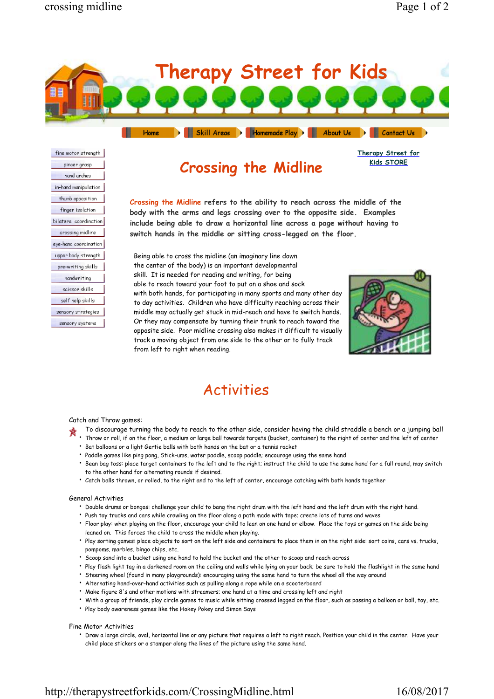

Skill Areas > Homemade Play > About Us > Contact Us >

**Therapy Street for Kids STORE**

fine motor strength pincer grasp hand arches in-hand manipulation thumb opposition finger isolation bilateral coordination crossing midline eye-hand coordination upper body strength pre-writing skills handwriting scissor skills self help skills sensory strategies sensory systems

# **Crossing the Midline**

**Crossing the Midline refers to the ability to reach across the middle of the body with the arms and legs crossing over to the opposite side. Examples include being able to draw a horizontal line across a page without having to switch hands in the middle or sitting cross-legged on the floor.**

Being able to cross the midline (an imaginary line down the center of the body) is an important developmental skill. It is needed for reading and writing, for being able to reach toward your foot to put on a shoe and sock with both hands, for participating in many sports and many other day to day activities. Children who have difficulty reaching across their middle may actually get stuck in mid-reach and have to switch hands. Or they may compensate by turning their trunk to reach toward the opposite side. Poor midline crossing also makes it difficult to visually track a moving object from one side to the other or to fully track from left to right when reading.



# Activities

## Catch and Throw games:

- To discourage turning the body to reach to the other side, consider having the child straddle a bench or a jumping ball
- Throw or roll, if on the floor, a medium or large ball towards targets (bucket, container) to the right of center and the left of center
- Bat balloons or a light Gertie balls with both hands on the bat or a tennis racket
- Paddle games like ping pong, Stick-ums, water paddle, scoop paddle; encourage using the same hand • Bean bag toss: place target containers to the left and to the right; instruct the child to use the same hand for a full round, may switch
- to the other hand for alternating rounds if desired.
- Catch balls thrown, or rolled, to the right and to the left of center, encourage catching with both hands together

### General Activities

- Double drums or bongos: challenge your child to bang the right drum with the left hand and the left drum with the right hand.
- Push toy trucks and cars while crawling on the floor along a path made with tape; create lots of turns and waves
- Floor play: when playing on the floor, encourage your child to lean on one hand or elbow. Place the toys or games on the side being leaned on. This forces the child to cross the middle when playing.
- Play sorting games: place objects to sort on the left side and containers to place them in on the right side: sort coins, cars vs. trucks, pompoms, marbles, bingo chips, etc.
- Scoop sand into a bucket using one hand to hold the bucket and the other to scoop and reach across
- Play flash light tag in a darkened room on the ceiling and walls while lying on your back; be sure to hold the flashlight in the same hand
- Steering wheel (found in many playgrounds): encouraging using the same hand to turn the wheel all the way around
- Alternating hand-over-hand activities such as pulling along a rope while on a scooterboard
- Make figure 8's and other motions with streamers; one hand at a time and crossing left and right
- With a group of friends, play circle games to music while sitting crossed legged on the floor, such as passing a balloon or ball, toy, etc.
- Play body awareness games like the Hokey Pokey and Simon Says

#### Fine Motor Activities

• Draw a large circle, oval, horizontal line or any picture that requires a left to right reach. Position your child in the center. Have your child place stickers or a stamper along the lines of the picture using the same hand.